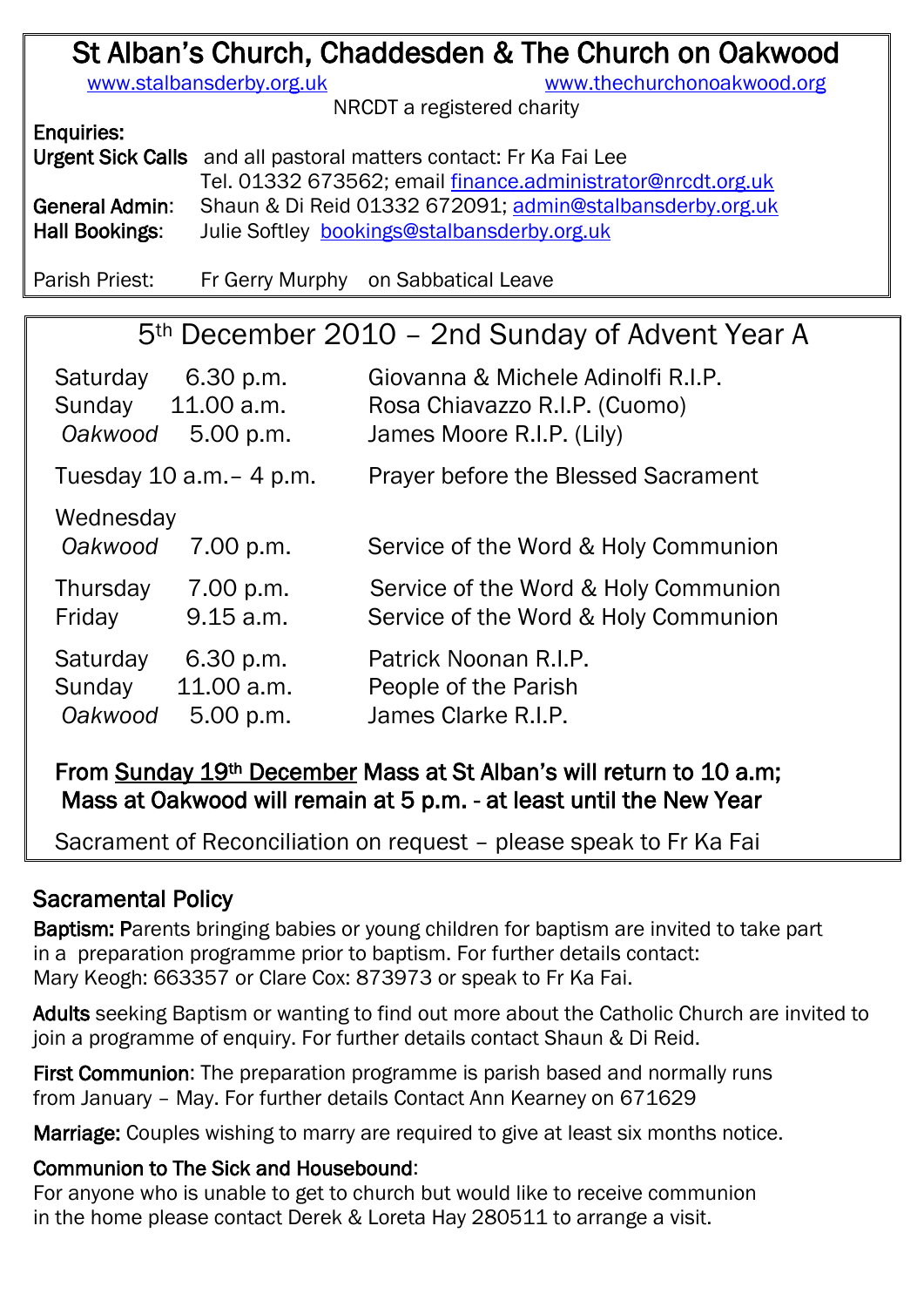# St Alban's Church, Chaddesden & The Church on Oakwood

[www.stalbansderby.org.uk](http://www.stalbansderby.org.uk/) [www.thechurchonoakwood.org](http://www.thechurchonoakwood.org/)

NRCDT a registered charity

Enquiries:

Urgent Sick Calls and all pastoral matters contact: Fr Ka Fai Lee

Tel. 01332 673562; email [finance.administrator@nrcdt.org.uk](mailto:finance.administrator@nrcdt.org.uk) General Admin: Shaun & Di Reid 01332 672091; [admin@stalbansderby.org.uk](mailto:admin@stalbansderby.org.uk) Hall Bookings: Julie Softley [bookings@stalbansderby.org.uk](mailto:bookings@stalbansderby.org.uk)

Parish Priest: Fr Gerry Murphy on Sabbatical Leave

# 5th December 2010 – 2nd Sunday of Advent Year A

| Saturday                     | 6.30 p.m.  | Giovanna & Michele Adinolfi R.I.P.   |  |
|------------------------------|------------|--------------------------------------|--|
| Sunday                       | 11.00 a.m. | Rosa Chiavazzo R.I.P. (Cuomo)        |  |
| Oakwood                      | 5.00 p.m.  | James Moore R.I.P. (Lily)            |  |
| Tuesday $10$ a.m. $-$ 4 p.m. |            | Prayer before the Blessed Sacrament  |  |
| Wednesday<br>Oakwood         | 7.00 p.m.  | Service of the Word & Holy Communion |  |
| Thursday                     | 7.00 p.m.  | Service of the Word & Holy Communion |  |
| Friday                       | 9.15 a.m.  | Service of the Word & Holy Communion |  |
| Saturday                     | 6.30 p.m.  | Patrick Noonan R.I.P.                |  |
| Sunday                       | 11.00 a.m. | People of the Parish                 |  |
| Oakwood                      | 5.00 p.m.  | James Clarke R.I.P.                  |  |

## From Sunday 19th December Mass at St Alban's will return to 10 a.m; Mass at Oakwood will remain at 5 p.m. - at least until the New Year

Sacrament of Reconciliation on request – please speak to Fr Ka Fai

## Sacramental Policy

Baptism: Parents bringing babies or young children for baptism are invited to take part in a preparation programme prior to baptism. For further details contact: Mary Keogh: 663357 or Clare Cox: 873973 or speak to Fr Ka Fai.

Adults seeking Baptism or wanting to find out more about the Catholic Church are invited to join a programme of enquiry. For further details contact Shaun & Di Reid.

First Communion: The preparation programme is parish based and normally runs from January – May. For further details Contact Ann Kearney on 671629

Marriage: Couples wishing to marry are required to give at least six months notice.

### Communion to The Sick and Housebound:

For anyone who is unable to get to church but would like to receive communion in the home please contact Derek & Loreta Hay 280511 to arrange a visit.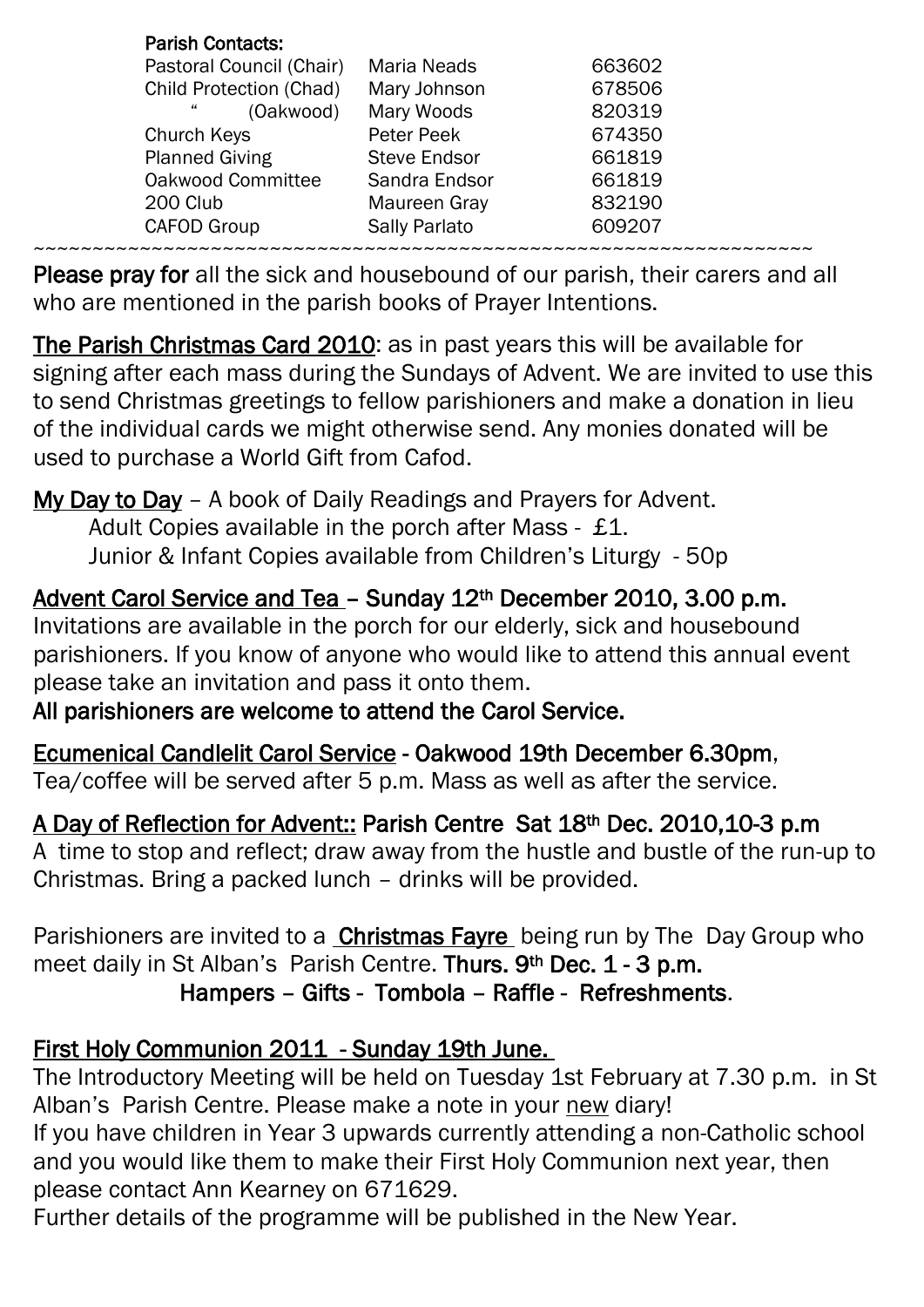| <b>Parish Contacts:</b>        |                     |        |
|--------------------------------|---------------------|--------|
| Pastoral Council (Chair)       | <b>Maria Neads</b>  | 663602 |
| <b>Child Protection (Chad)</b> | Mary Johnson        | 678506 |
| 44<br>(Oakwood)                | Mary Woods          | 820319 |
| Church Keys                    | Peter Peek          | 674350 |
| <b>Planned Giving</b>          | <b>Steve Endsor</b> | 661819 |
| Oakwood Committee              | Sandra Endsor       | 661819 |
| 200 Club                       | Maureen Gray        | 832190 |
| <b>CAFOD Group</b>             | Sally Parlato       | 609207 |
|                                |                     |        |

Please pray for all the sick and housebound of our parish, their carers and all who are mentioned in the parish books of Prayer Intentions.

The Parish Christmas Card 2010: as in past years this will be available for signing after each mass during the Sundays of Advent. We are invited to use this to send Christmas greetings to fellow parishioners and make a donation in lieu of the individual cards we might otherwise send. Any monies donated will be used to purchase a World Gift from Cafod.

My Day to Day - A book of Daily Readings and Prayers for Advent.

Adult Copies available in the porch after Mass - £1.

Junior & Infant Copies available from Children's Liturgy - 50p

Advent Carol Service and Tea – Sunday 12th December 2010, 3.00 p.m. Invitations are available in the porch for our elderly, sick and housebound parishioners. If you know of anyone who would like to attend this annual event please take an invitation and pass it onto them.

## All parishioners are welcome to attend the Carol Service.

Ecumenical Candlelit Carol Service - Oakwood 19th December 6.30pm, Tea/coffee will be served after 5 p.m. Mass as well as after the service.

A Day of Reflection for Advent:: Parish Centre Sat 18th Dec. 2010,10-3 p.m A time to stop and reflect; draw away from the hustle and bustle of the run-up to Christmas. Bring a packed lunch – drinks will be provided.

Parishioners are invited to a **Christmas Fayre** being run by The Day Group who meet daily in St Alban's Parish Centre. Thurs. 9<sup>th</sup> Dec. 1 - 3 p.m.

Hampers – Gifts - Tombola – Raffle - Refreshments.

## First Holy Communion 2011 - Sunday 19th June.

The Introductory Meeting will be held on Tuesday 1st February at 7.30 p.m. in St Alban's Parish Centre. Please make a note in your new diary!

If you have children in Year 3 upwards currently attending a non-Catholic school and you would like them to make their First Holy Communion next year, then please contact Ann Kearney on 671629.

Further details of the programme will be published in the New Year.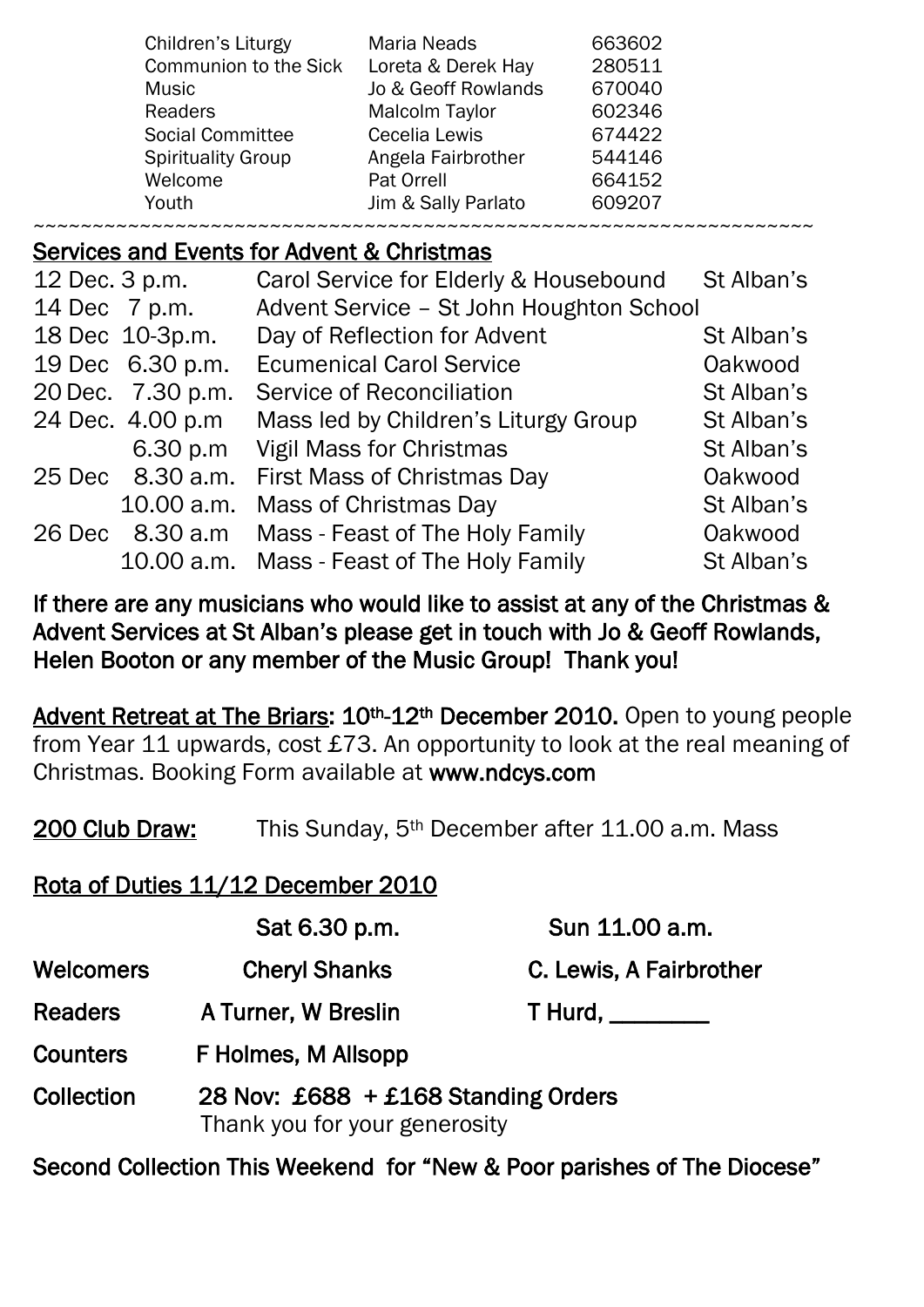| Children's Liturgy           | <b>Maria Neads</b>  | 663602 |  |  |
|------------------------------|---------------------|--------|--|--|
| <b>Communion to the Sick</b> | Loreta & Derek Hay  | 280511 |  |  |
| <b>Music</b>                 | Jo & Geoff Rowlands | 670040 |  |  |
| <b>Readers</b>               | Malcolm Taylor      | 602346 |  |  |
| <b>Social Committee</b>      | Cecelia Lewis       | 674422 |  |  |
| <b>Spirituality Group</b>    | Angela Fairbrother  | 544146 |  |  |
| Welcome                      | Pat Orrell          | 664152 |  |  |
| Youth                        | Jim & Sally Parlato | 609207 |  |  |
|                              |                     |        |  |  |

### Services and Events for Advent & Christmas

| 12 Dec. 3 p.m.     | Carol Service for Elderly & Housebound     | St Alban's |
|--------------------|--------------------------------------------|------------|
| 14 Dec 7 p.m.      | Advent Service - St John Houghton School   |            |
| 18 Dec 10-3p.m.    | Day of Reflection for Advent               | St Alban's |
| 19 Dec 6.30 p.m.   | <b>Ecumenical Carol Service</b>            | Oakwood    |
| 20 Dec. 7.30 p.m.  | Service of Reconciliation                  | St Alban's |
| 24 Dec. 4.00 p.m   | Mass led by Children's Liturgy Group       | St Alban's |
| 6.30 p.m           | <b>Vigil Mass for Christmas</b>            | St Alban's |
| 25 Dec 8.30 a.m.   | First Mass of Christmas Day                | Oakwood    |
| 10.00 a.m.         | Mass of Christmas Day                      | St Alban's |
| 8.30 a.m<br>26 Dec | Mass - Feast of The Holy Family            | Oakwood    |
|                    | 10.00 a.m. Mass - Feast of The Holy Family | St Alban's |

If there are any musicians who would like to assist at any of the Christmas & Advent Services at St Alban's please get in touch with Jo & Geoff Rowlands, Helen Booton or any member of the Music Group! Thank you!

Advent Retreat at The Briars: 10<sup>th</sup>-12<sup>th</sup> December 2010. Open to young people from Year 11 upwards, cost £73. An opportunity to look at the real meaning of Christmas. Booking Form available at www.ndcys.com

200 Club Draw: This Sunday, 5<sup>th</sup> December after 11.00 a.m. Mass

## Rota of Duties 11/12 December 2010

|                   | Sat 6.30 p.m.                                                        | Sun 11.00 a.m.          |  |
|-------------------|----------------------------------------------------------------------|-------------------------|--|
| <b>Welcomers</b>  | <b>Cheryl Shanks</b>                                                 | C. Lewis, A Fairbrother |  |
| <b>Readers</b>    | A Turner, W Breslin                                                  | T Hurd, _________       |  |
| <b>Counters</b>   | F Holmes, M Allsopp                                                  |                         |  |
| <b>Collection</b> | 28 Nov: £688 + £168 Standing Orders<br>Thank you for your generosity |                         |  |

Second Collection This Weekend for "New & Poor parishes of The Diocese"